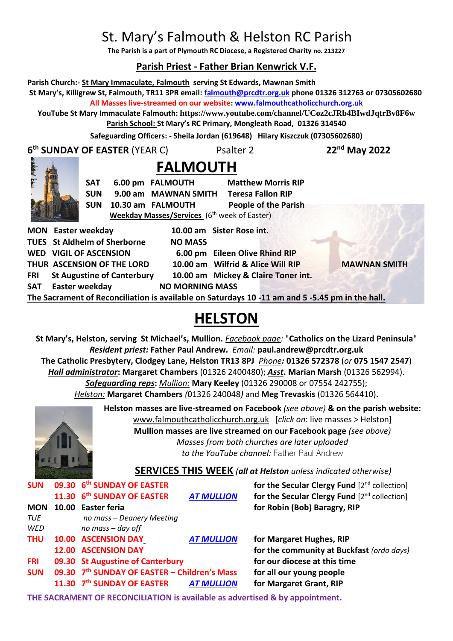# St. Mary's Falmouth & Helston RC Parish

**The Parish is a part of Plymouth RC Diocese, a Registered Charity no. 213227**

# **Parish Priest - Father Brian Kenwrick V.F.**

**Parish Church:- St Mary Immaculate, Falmouth serving St Edwards, Mawnan Smith St Mary's, Killigrew St, Falmouth, TR11 3PR email: [falmouth@prcdtr.org.uk](mailto:falmouth@prcdtr.org.uk) phone 01326 312763 or 07305602680 All Masses live-streamed on our website[: www.falmouthcatholicchurch.org.uk](http://www.falmouthcatholicchurch.org.uk/) YouTube St Mary Immaculate Falmouth: <https://www.youtube.com/channel/UCoz2cJRb4BIwdJqtrBv8F6w> Parish School: St Mary's RC Primary, Mongleath Road, 01326 314540 Safeguarding Officers: - Sheila Jordan (619648) Hilary Kiszczuk (07305602680) 6 th SUNDAY OF EASTER** (YEAR C) Psalter 2 **22nd May 2022 FALMOUTH** SAT 6.00 pm FALMOUTH Matthew Morris RIP **SUN 9.00 am MAWNAN SMITH Teresa Fallon RIP SUN 10.30 am FALMOUTH People of the Parish Weekday Masses/Services** (6 th week of Easter) **MON Easter weekday 10.00 am Sister Rose int. TUES St Aldhelm of Sherborne NO MASS WED VIGIL OF ASCENSION 6.00 pm Eileen Olive Rhind RIP THUR ASCENSION OF THE LORD 10.00 am Wilfrid & Alice Will RIP MAWNAN SMITH FRI St Augustine of Canterbury 10.00 am Mickey & Claire Toner int. SAT** Easter weekday **NO MORNING MASS The Sacrament of Reconciliation is available on Saturdays 10 -11 am and 5 -5.45 pm in the hall.**

# **HELSTON**

**St Mary's, Helston, serving St Michael's, Mullion.** *Facebook page:* "**Catholics on the Lizard Peninsula**" *Resident priest:* **Father Paul Andrew.** *Email:* **[paul.andrew@prcdtr.org.uk](mailto:paul.andrew@prcdtr.org.uk) The Catholic Presbytery, Clodgey Lane, Helston TR13 8PJ** *Phone:* **01326 572378** (*or* **075 1547 2547**) *Hall administrator***: Margaret Chambers** (01326 2400480); *Asst***. Marian Marsh** (01326 562994). *Safeguarding reps***:** *Mullion:* **Mary Keeley** (01326 290008 or 07554 242755); *Helston:* **Margaret Chambers** *(*01326 240048*)* and **Meg Trevaskis** (01326 564410)**.** 



**Helston masses are live-streamed on Facebook** *(see above)* **& on the parish website:**  [www.falmouthcatholicchurch.org.uk](http://www.falmouthcatholicchurch.org.uk/) [*click on*: live masses > Helston] **Mullion masses are live streamed on our Facebook page** *(see above) Masses from both churches are later uploaded to the YouTube channel:* Father Paul Andrew

# **SERVICES THIS WEEK** *(all at Helston unless indicated otherwise)*

| <b>SUN</b> | 09.30 6 <sup>th</sup> SUNDAY OF EASTER       |                   | for the Secular Clergy Fund [2 <sup>nd</sup> collection] |
|------------|----------------------------------------------|-------------------|----------------------------------------------------------|
|            | 11.30 6th SUNDAY OF EASTER                   | <b>AT MULLION</b> | for the Secular Clergy Fund $[2^{nd}$ collection]        |
| <b>MON</b> | 10.00 Easter feria                           |                   | for Robin (Bob) Baragry, RIP                             |
| TUE        | no mass - Deanery Meeting                    |                   |                                                          |
| WED        | no mass - day off                            |                   |                                                          |
| <b>THU</b> | 10.00 ASCENSION DAY                          | <b>AT MULLION</b> | for Margaret Hughes, RIP                                 |
|            | <b>12.00 ASCENSION DAY</b>                   |                   | for the community at Buckfast (ordo days)                |
| <b>FRI</b> | 09.30 St Augustine of Canterbury             |                   | for our diocese at this time                             |
| <b>SUN</b> | 09.30 7th SUNDAY OF EASTER - Children's Mass |                   | for all our young people                                 |
|            | 11.30 7th SUNDAY OF EASTER                   | <b>AT MULLION</b> | for Margaret Grant, RIP                                  |
|            |                                              |                   |                                                          |

**THE SACRAMENT OF RECONCILIATION is available as advertised & by appointment.**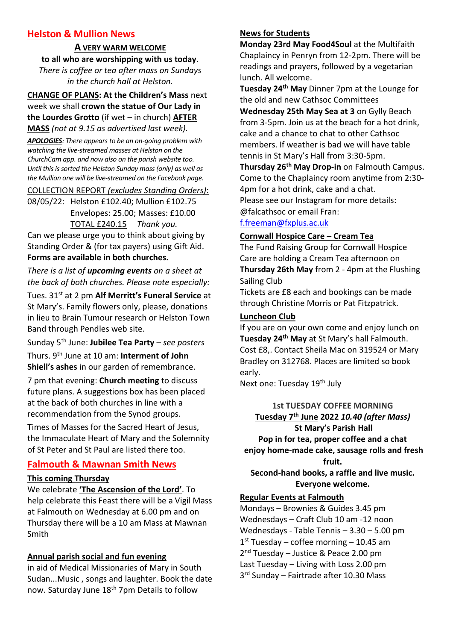# **Helston & Mullion News**

**A VERY WARM WELCOME to all who are worshipping with us today**. *There is coffee or tea after mass on Sundays in the church hall at Helston.*

**CHANGE OF PLANS: At the Children's Mass** next week we shall **crown the statue of Our Lady in the Lourdes Grotto** (if wet – in church) **AFTER MASS** *(not at 9.15 as advertised last week).*

*APOLOGIES: There appears to be an on-going problem with watching the live-streamed masses at Helston on the ChurchCam app. and now also on the parish website too. Until this is sorted the Helston Sunday mass (only) as well as the Mullion one will be live-streamed on the Facebook page.*

COLLECTION REPORT *(excludes Standing Orders)*:

08/05/22: Helston £102.40; Mullion £102.75 Envelopes: 25.00; Masses: £10.00 TOTAL £240.15 *Thank you.*

Can we please urge you to think about giving by Standing Order & (for tax payers) using Gift Aid. **Forms are available in both churches.**

*There is a list of upcoming events on a sheet at the back of both churches. Please note especially:*

Tues. 31st at 2 pm **Alf Merritt's Funeral Service** at St Mary's. Family flowers only, please, donations in lieu to Brain Tumour research or Helston Town Band through Pendles web site.

Sunday 5th June: **Jubilee Tea Party** – *see posters*

Thurs. 9th June at 10 am: **Interment of John Shiell's ashes** in our garden of remembrance.

7 pm that evening: **Church meeting** to discuss future plans. A suggestions box has been placed at the back of both churches in line with a recommendation from the Synod groups.

Times of Masses for the Sacred Heart of Jesus, the Immaculate Heart of Mary and the Solemnity of St Peter and St Paul are listed there too.

# **Falmouth & Mawnan Smith News**

#### **This coming Thursday**

We celebrate **'The Ascension of the Lord'**. To help celebrate this Feast there will be a Vigil Mass at Falmouth on Wednesday at 6.00 pm and on Thursday there will be a 10 am Mass at Mawnan Smith

# **Annual parish social and fun evening**

in aid of Medical Missionaries of Mary in South Sudan...Music , songs and laughter. Book the date now. Saturday June 18<sup>th</sup> 7pm Details to follow

#### **News for Students**

**Monday 23rd May Food4Soul** at the Multifaith Chaplaincy in Penryn from 12-2pm. There will be readings and prayers, followed by a vegetarian lunch. All welcome.

**Tuesday 24th May** Dinner 7pm at the Lounge for the old and new Cathsoc Committees

**Wednesday 25th May Sea at 3** on Gylly Beach from 3-5pm. Join us at the beach for a hot drink, cake and a chance to chat to other Cathsoc members. If weather is bad we will have table tennis in St Mary's Hall from 3:30-5pm.

**Thursday 26th May Drop-in** on Falmouth Campus. Come to the Chaplaincy room anytime from 2:30- 4pm for a hot drink, cake and a chat. Please see our Instagram for more details: @falcathsoc or email Fran:

# [f.freeman@fxplus.ac.uk](mailto:f.freeman@fxplus.ac.uk)

#### **Cornwall Hospice Care – Cream Tea**

The Fund Raising Group for Cornwall Hospice Care are holding a Cream Tea afternoon on **Thursday 26th May** from 2 - 4pm at the Flushing Sailing Club

Tickets are £8 each and bookings can be made through Christine Morris or Pat Fitzpatrick.

## **Luncheon Club**

If you are on your own come and enjoy lunch on **Tuesday 24th May** at St Mary's hall Falmouth. Cost £8,. Contact Sheila Mac on 319524 or Mary Bradley on 312768. Places are limited so book early.

Next one: Tuesday 19<sup>th</sup> July

# **1st TUESDAY COFFEE MORNING Tuesday 7th June 2022** *10.40 (after Mass)* **St Mary's Parish Hall**

**Pop in for tea, proper coffee and a chat enjoy home-made cake, sausage rolls and fresh fruit.**

**Second-hand books, a raffle and live music. Everyone welcome.**

#### **Regular Events at Falmouth**

Mondays – Brownies & Guides 3.45 pm Wednesdays – Craft Club 10 am -12 noon Wednesdays - Table Tennis – 3.30 – 5.00 pm 1 st Tuesday – coffee morning – 10.45 am 2<sup>nd</sup> Tuesday - Justice & Peace 2.00 pm Last Tuesday – Living with Loss 2.00 pm 3 rd Sunday – Fairtrade after 10.30 Mass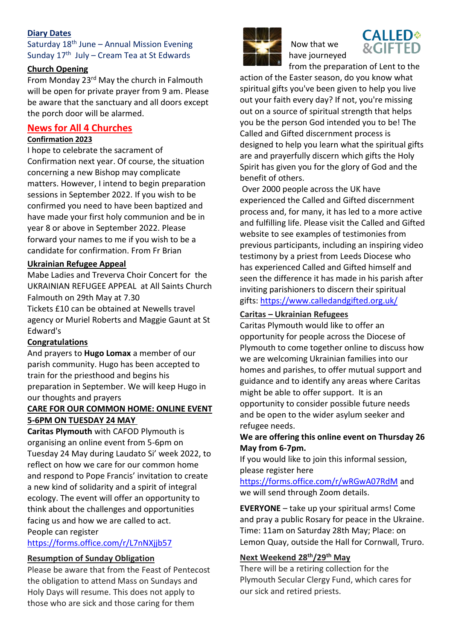# **Diary Dates**

Saturday  $18<sup>th</sup>$  June – Annual Mission Evening Sunday  $17<sup>th</sup>$  July – Cream Tea at St Edwards

#### **Church Opening**

From Monday 23rd May the church in Falmouth will be open for private prayer from 9 am. Please be aware that the sanctuary and all doors except the porch door will be alarmed.

# **News for All 4 Churches**

#### **Confirmation 2023**

I hope to celebrate the sacrament of Confirmation next year. Of course, the situation concerning a new Bishop may complicate matters. However, I intend to begin preparation sessions in September 2022. If you wish to be confirmed you need to have been baptized and have made your first holy communion and be in year 8 or above in September 2022. Please forward your names to me if you wish to be a candidate for confirmation. From Fr Brian

## **Ukrainian Refugee Appeal**

Mabe Ladies and Treverva Choir Concert for the UKRAINIAN REFUGEE APPEAL at All Saints Church Falmouth on 29th May at 7.30

Tickets £10 can be obtained at Newells travel agency or Muriel Roberts and Maggie Gaunt at St Edward's

# **Congratulations**

And prayers to **Hugo Lomax** a member of our parish community. Hugo has been accepted to train for the priesthood and begins his preparation in September. We will keep Hugo in our thoughts and prayers

# **CARE FOR OUR COMMON HOME: ONLINE EVENT 5-6PM ON TUESDAY 24 MAY**

**Caritas Plymouth** with CAFOD Plymouth is organising an online event from 5-6pm on Tuesday 24 May during Laudato Si' week 2022, to reflect on how we care for our common home and respond to Pope Francis' invitation to create a new kind of solidarity and a spirit of integral ecology. The event will offer an opportunity to think about the challenges and opportunities facing us and how we are called to act. People can register

<https://forms.office.com/r/L7nNXjjb57>

#### **Resumption of Sunday Obligation**

Please be aware that from the Feast of Pentecost the obligation to attend Mass on Sundays and Holy Days will resume. This does not apply to those who are sick and those caring for them



Now that we have journeyed



from the preparation of Lent to the action of the Easter season, do you know what spiritual gifts you've been given to help you live out your faith every day? If not, you're missing out on a source of spiritual strength that helps you be the person God intended you to be! The Called and Gifted discernment process is designed to help you learn what the spiritual gifts are and prayerfully discern which gifts the Holy Spirit has given you for the glory of God and the benefit of others.

Over 2000 people across the UK have experienced the Called and Gifted discernment process and, for many, it has led to a more active and fulfilling life. Please visit the Called and Gifted website to see examples of testimonies from previous participants, including an inspiring video testimony by a priest from Leeds Diocese who has experienced Called and Gifted himself and seen the difference it has made in his parish after inviting parishioners to discern their spiritual gifts: [https://www.calledandgifted.org.uk/](https://linkprotect.cudasvc.com/url?a=https%3a%2f%2fwww.calledandgifted.org.uk%2f&c=E,1,-187j_dQ30RFC6lkH3-843K3uLzctXLDZce-XyFuJ9iCsi4-Y8Z1lGp0SFvy-n56BfTa-V0_6_mzZ94D34JAxxpLlPGgro1dS1-3pcITH07e&typo=1)

## **Caritas – Ukrainian Refugees**

Caritas Plymouth would like to offer an opportunity for people across the Diocese of Plymouth to come together online to discuss how we are welcoming Ukrainian families into our homes and parishes, to offer mutual support and guidance and to identify any areas where Caritas might be able to offer support. It is an opportunity to consider possible future needs and be open to the wider asylum seeker and refugee needs.

# **We are offering this online event on Thursday 26 May from 6-7pm.**

If you would like to join this informal session, please register here

<https://forms.office.com/r/wRGwA07RdM> and we will send through Zoom details.

**EVERYONE** – take up your spiritual arms! Come and pray a public Rosary for peace in the Ukraine. Time: 11am on Saturday 28th May; Place: on Lemon Quay, outside the Hall for Cornwall, Truro.

# **Next Weekend 28th/29th May**

There will be a retiring collection for the Plymouth Secular Clergy Fund, which cares for our sick and retired priests.